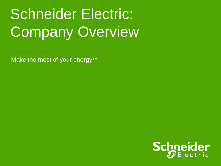# Schneider Electric: **Company Overview**

Make the most of your energy<sup>™</sup>

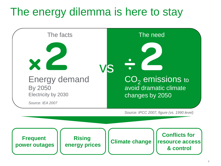### The energy dilemma is here to stay

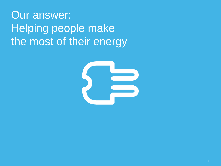### Our answer: Helping people make the most of their energy

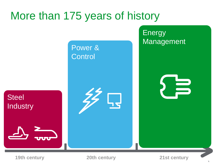### More than 175 years of history

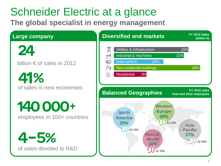### Schneider Electric at a glance

**The global specialist in energy management**

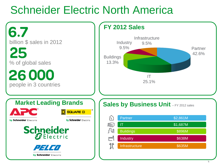### Schneider Electric North America

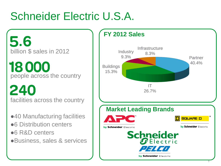### Schneider Electric U.S.A.

5.6 billion \$ sales in 2012

18000 people across the country

240 facilities across the country

- ●40 Manufacturing facilities
- ●6 Distribution centers
- ●6 R&D centers
- ●Business, sales & services

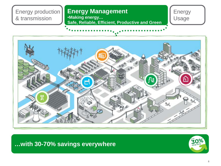Energy production & transmission

#### **Energy Management**

•**Making energy… Safe, Reliable, Efficient, Productive and Green** Energy Usage



**…with 30-70% savings everywhere**

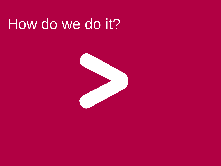# How do we do it?

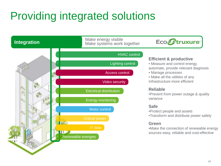### Providing integrated solutions

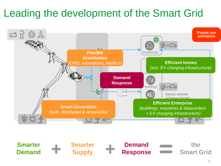### Leading the development of the Smart Grid



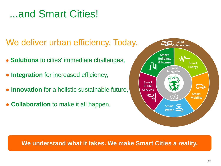#### ...and Smart Cities!

#### We deliver urban efficiency. Today.

- **Solutions** to cities' immediate challenges,
- **Integration** for increased efficiency,
- **Innovation** for a holistic sustainable future,
- **Collaboration** to make it all happen.



#### **We understand what it takes. We make Smart Cities a reality.**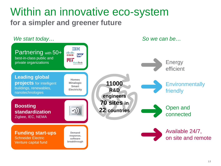#### Within an innovative eco-system **for a simpler and greener future**

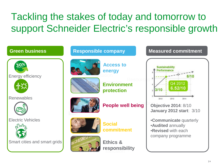### Tackling the stakes of today and tomorrow to support Schneider Electric's responsible growth

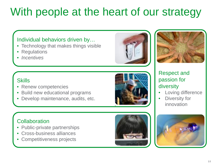### With people at the heart of our strategy

#### Individual behaviors driven by…

- Technology that makes things visible
- **Regulations**
- *Incentives*

#### **Skills**

- Renew competencies
- Build new educational programs
- Develop maintenance, audits, etc.

#### **Collaboration**

- Public-private partnerships
- Cross-business alliances
- Competitiveness projects

15



- Loving difference
- Diversity for innovation





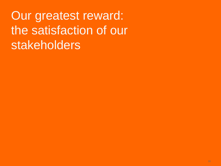Our greatest reward: the satisfaction of our stakeholders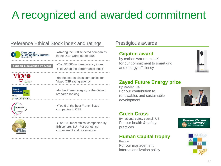### A recognized and awarded commitment

#### Reference Ethical Stock index and ratings Prestigious awards



**CARBON DISCLOSURE PROJECT** 

**Vioeo** 

**Responsibility** 

cekom research

●Among the 300 selected companies in the DJSI world out of 3500

●Top 52/500 in transparency index ●Top 29 on the performance index

●In the best-in-class companies for Vigeo CSR rating agency

●In the Prime category of the Oekom research ranking

●Top 5 of the best French listed companies in CSR

●Top 100 most ethical companies By Ethisphere, EU - For our ethics commitment and governance

#### **Gigaton award**

by carbon war room, UK for our commitment to smart grid and energy efficiency



#### **Zayed Future Energy prize**

By Masdar, UAE For our contribution to renewables and sustainable development



#### **Green Cross**

By national safety council, US For our health & safety practices

#### **Human Capital trophy**

France For our management internationalization policy